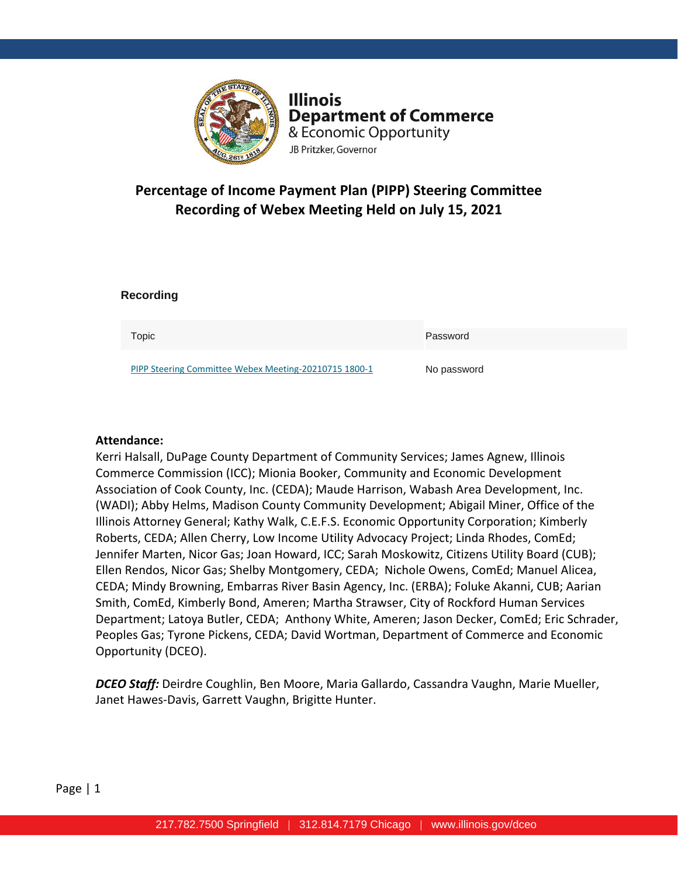

**Illinois Department of Commerce** & Economic Opportunity JB Pritzker, Governor

# **Percentage of Income Payment Plan (PIPP) Steering Committee Recording of Webex Meeting Held on July 15, 2021**

#### **Recording**

| Topic                                                 | Password    |
|-------------------------------------------------------|-------------|
| PIPP Steering Committee Webex Meeting-20210715 1800-1 | No password |

#### **Attendance:**

Kerri Halsall, DuPage County Department of Community Services; James Agnew, Illinois Commerce Commission (ICC); Mionia Booker, Community and Economic Development Association of Cook County, Inc. (CEDA); Maude Harrison, Wabash Area Development, Inc. (WADI); Abby Helms, Madison County Community Development; Abigail Miner, Office of the Illinois Attorney General; Kathy Walk, C.E.F.S. Economic Opportunity Corporation; Kimberly Roberts, CEDA; Allen Cherry, Low Income Utility Advocacy Project; Linda Rhodes, ComEd; Jennifer Marten, Nicor Gas; Joan Howard, ICC; Sarah Moskowitz, Citizens Utility Board (CUB); Ellen Rendos, Nicor Gas; Shelby Montgomery, CEDA; Nichole Owens, ComEd; Manuel Alicea, CEDA; Mindy Browning, Embarras River Basin Agency, Inc. (ERBA); Foluke Akanni, CUB; Aarian Smith, ComEd, Kimberly Bond, Ameren; Martha Strawser, City of Rockford Human Services Department; Latoya Butler, CEDA; Anthony White, Ameren; Jason Decker, ComEd; Eric Schrader, Peoples Gas; Tyrone Pickens, CEDA; David Wortman, Department of Commerce and Economic Opportunity (DCEO).

*DCEO Staff:* Deirdre Coughlin, Ben Moore, Maria Gallardo, Cassandra Vaughn, Marie Mueller, Janet Hawes-Davis, Garrett Vaughn, Brigitte Hunter.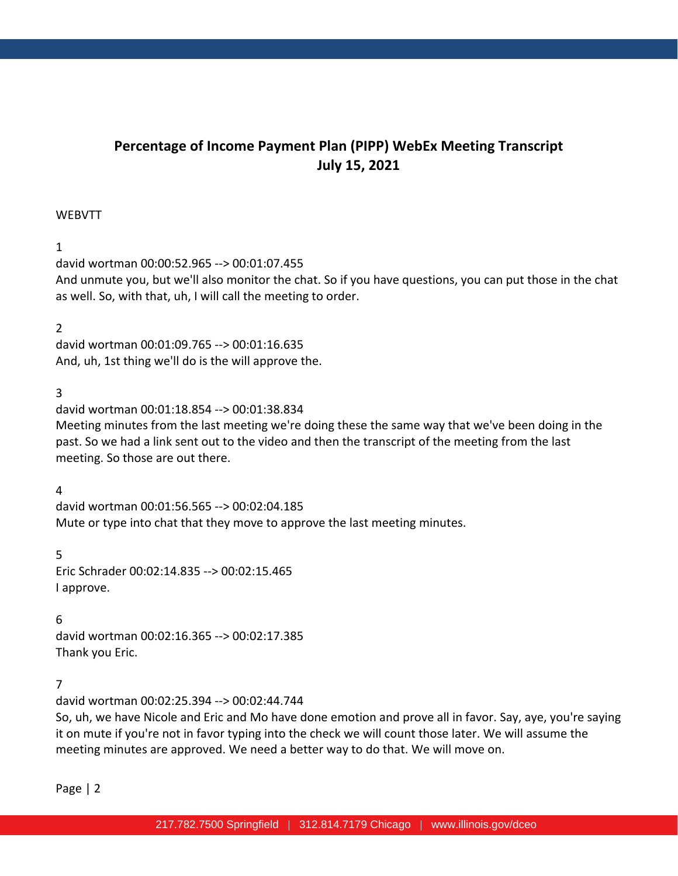# **Percentage of Income Payment Plan (PIPP) WebEx Meeting Transcript July 15, 2021**

#### WEBVTT

# 1

david wortman 00:00:52.965 --> 00:01:07.455 And unmute you, but we'll also monitor the chat. So if you have questions, you can put those in the chat as well. So, with that, uh, I will call the meeting to order.

# 2

david wortman 00:01:09.765 --> 00:01:16.635 And, uh, 1st thing we'll do is the will approve the.

# 3

david wortman 00:01:18.854 --> 00:01:38.834 Meeting minutes from the last meeting we're doing these the same way that we've been doing in the past. So we had a link sent out to the video and then the transcript of the meeting from the last meeting. So those are out there.

#### 4

david wortman 00:01:56.565 --> 00:02:04.185 Mute or type into chat that they move to approve the last meeting minutes.

#### 5

Eric Schrader 00:02:14.835 --> 00:02:15.465 I approve.

#### 6

david wortman 00:02:16.365 --> 00:02:17.385 Thank you Eric.

#### 7

david wortman 00:02:25.394 --> 00:02:44.744

So, uh, we have Nicole and Eric and Mo have done emotion and prove all in favor. Say, aye, you're saying it on mute if you're not in favor typing into the check we will count those later. We will assume the meeting minutes are approved. We need a better way to do that. We will move on.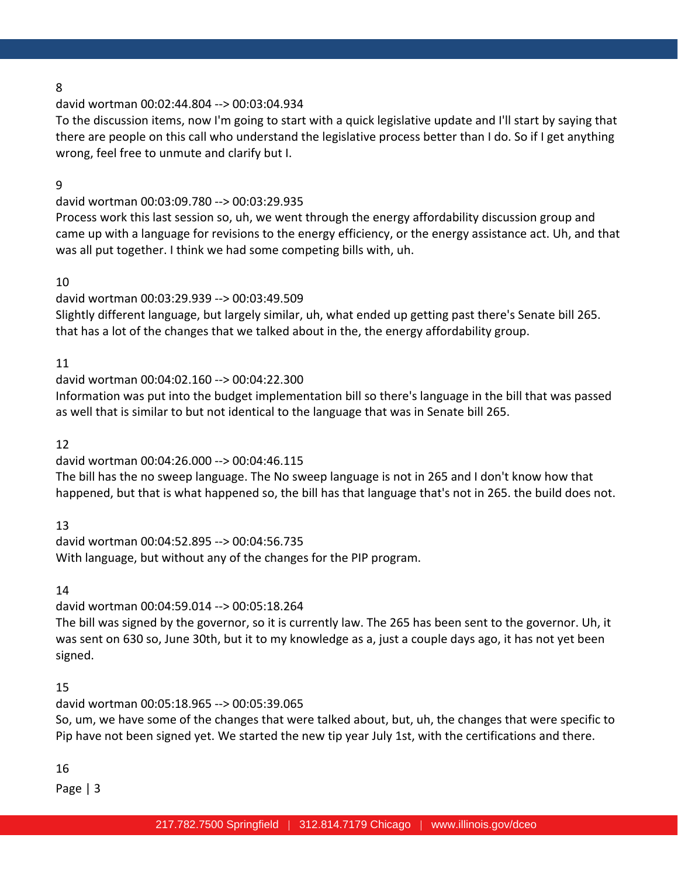#### david wortman 00:02:44.804 --> 00:03:04.934

To the discussion items, now I'm going to start with a quick legislative update and I'll start by saying that there are people on this call who understand the legislative process better than I do. So if I get anything wrong, feel free to unmute and clarify but I.

#### 9

#### david wortman 00:03:09.780 --> 00:03:29.935

Process work this last session so, uh, we went through the energy affordability discussion group and came up with a language for revisions to the energy efficiency, or the energy assistance act. Uh, and that was all put together. I think we had some competing bills with, uh.

#### 10

# david wortman 00:03:29.939 --> 00:03:49.509

Slightly different language, but largely similar, uh, what ended up getting past there's Senate bill 265. that has a lot of the changes that we talked about in the, the energy affordability group.

#### 11

#### david wortman 00:04:02.160 --> 00:04:22.300

Information was put into the budget implementation bill so there's language in the bill that was passed as well that is similar to but not identical to the language that was in Senate bill 265.

#### 12

# david wortman 00:04:26.000 --> 00:04:46.115

The bill has the no sweep language. The No sweep language is not in 265 and I don't know how that happened, but that is what happened so, the bill has that language that's not in 265. the build does not.

13

david wortman 00:04:52.895 --> 00:04:56.735 With language, but without any of the changes for the PIP program.

14

david wortman 00:04:59.014 --> 00:05:18.264

The bill was signed by the governor, so it is currently law. The 265 has been sent to the governor. Uh, it was sent on 630 so, June 30th, but it to my knowledge as a, just a couple days ago, it has not yet been signed.

#### 15

#### david wortman 00:05:18.965 --> 00:05:39.065

So, um, we have some of the changes that were talked about, but, uh, the changes that were specific to Pip have not been signed yet. We started the new tip year July 1st, with the certifications and there.

#### 16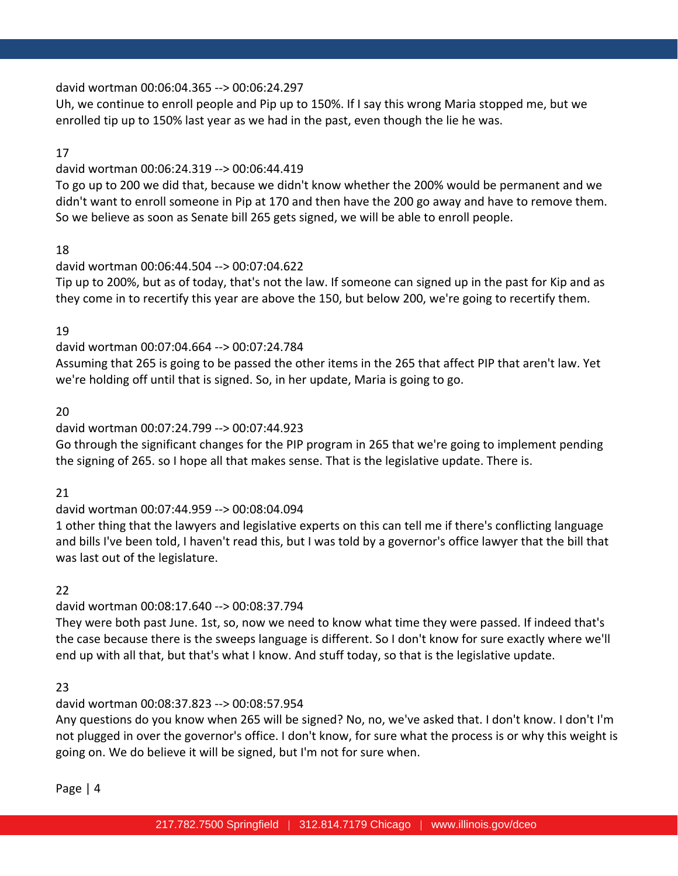#### david wortman 00:06:04.365 --> 00:06:24.297

Uh, we continue to enroll people and Pip up to 150%. If I say this wrong Maria stopped me, but we enrolled tip up to 150% last year as we had in the past, even though the lie he was.

# 17

#### david wortman 00:06:24.319 --> 00:06:44.419

To go up to 200 we did that, because we didn't know whether the 200% would be permanent and we didn't want to enroll someone in Pip at 170 and then have the 200 go away and have to remove them. So we believe as soon as Senate bill 265 gets signed, we will be able to enroll people.

# 18

# david wortman 00:06:44.504 --> 00:07:04.622

Tip up to 200%, but as of today, that's not the law. If someone can signed up in the past for Kip and as they come in to recertify this year are above the 150, but below 200, we're going to recertify them.

# 19

# david wortman 00:07:04.664 --> 00:07:24.784

Assuming that 265 is going to be passed the other items in the 265 that affect PIP that aren't law. Yet we're holding off until that is signed. So, in her update, Maria is going to go.

# 20

# david wortman 00:07:24.799 --> 00:07:44.923

Go through the significant changes for the PIP program in 265 that we're going to implement pending the signing of 265. so I hope all that makes sense. That is the legislative update. There is.

#### 21

# david wortman 00:07:44.959 --> 00:08:04.094

1 other thing that the lawyers and legislative experts on this can tell me if there's conflicting language and bills I've been told, I haven't read this, but I was told by a governor's office lawyer that the bill that was last out of the legislature.

#### 22

# david wortman 00:08:17.640 --> 00:08:37.794

They were both past June. 1st, so, now we need to know what time they were passed. If indeed that's the case because there is the sweeps language is different. So I don't know for sure exactly where we'll end up with all that, but that's what I know. And stuff today, so that is the legislative update.

#### 23

# david wortman 00:08:37.823 --> 00:08:57.954

Any questions do you know when 265 will be signed? No, no, we've asked that. I don't know. I don't I'm not plugged in over the governor's office. I don't know, for sure what the process is or why this weight is going on. We do believe it will be signed, but I'm not for sure when.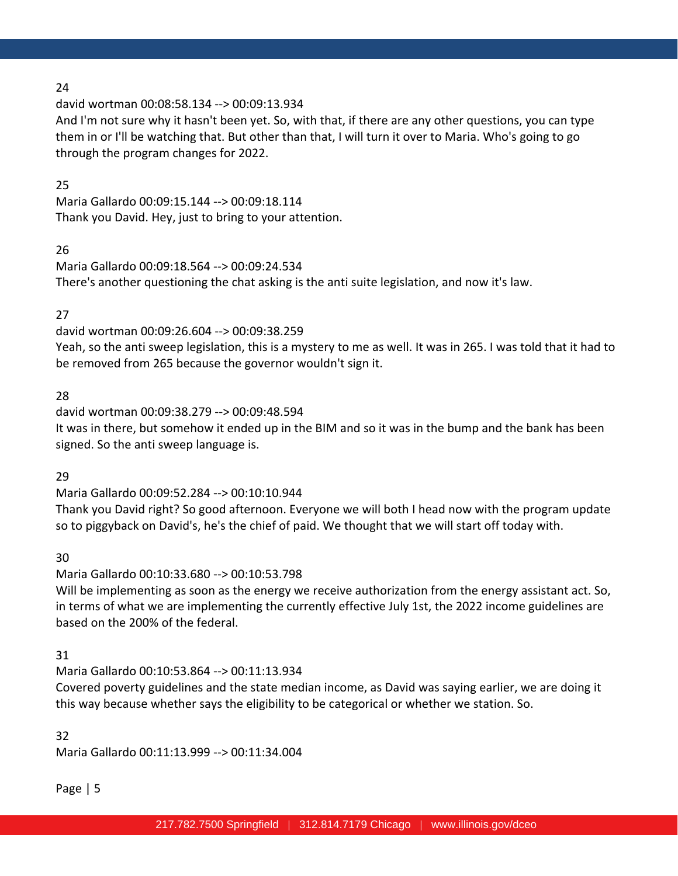david wortman 00:08:58.134 --> 00:09:13.934

And I'm not sure why it hasn't been yet. So, with that, if there are any other questions, you can type them in or I'll be watching that. But other than that, I will turn it over to Maria. Who's going to go through the program changes for 2022.

# 25

Maria Gallardo 00:09:15.144 --> 00:09:18.114 Thank you David. Hey, just to bring to your attention.

# 26

Maria Gallardo 00:09:18.564 --> 00:09:24.534 There's another questioning the chat asking is the anti suite legislation, and now it's law.

# 27

david wortman 00:09:26.604 --> 00:09:38.259

Yeah, so the anti sweep legislation, this is a mystery to me as well. It was in 265. I was told that it had to be removed from 265 because the governor wouldn't sign it.

# 28

david wortman 00:09:38.279 --> 00:09:48.594 It was in there, but somehow it ended up in the BIM and so it was in the bump and the bank has been signed. So the anti sweep language is.

# 29

Maria Gallardo 00:09:52.284 --> 00:10:10.944 Thank you David right? So good afternoon. Everyone we will both I head now with the program update so to piggyback on David's, he's the chief of paid. We thought that we will start off today with.

30

Maria Gallardo 00:10:33.680 --> 00:10:53.798

Will be implementing as soon as the energy we receive authorization from the energy assistant act. So, in terms of what we are implementing the currently effective July 1st, the 2022 income guidelines are based on the 200% of the federal.

#### 31

Maria Gallardo 00:10:53.864 --> 00:11:13.934

Covered poverty guidelines and the state median income, as David was saying earlier, we are doing it this way because whether says the eligibility to be categorical or whether we station. So.

#### 32

Maria Gallardo 00:11:13.999 --> 00:11:34.004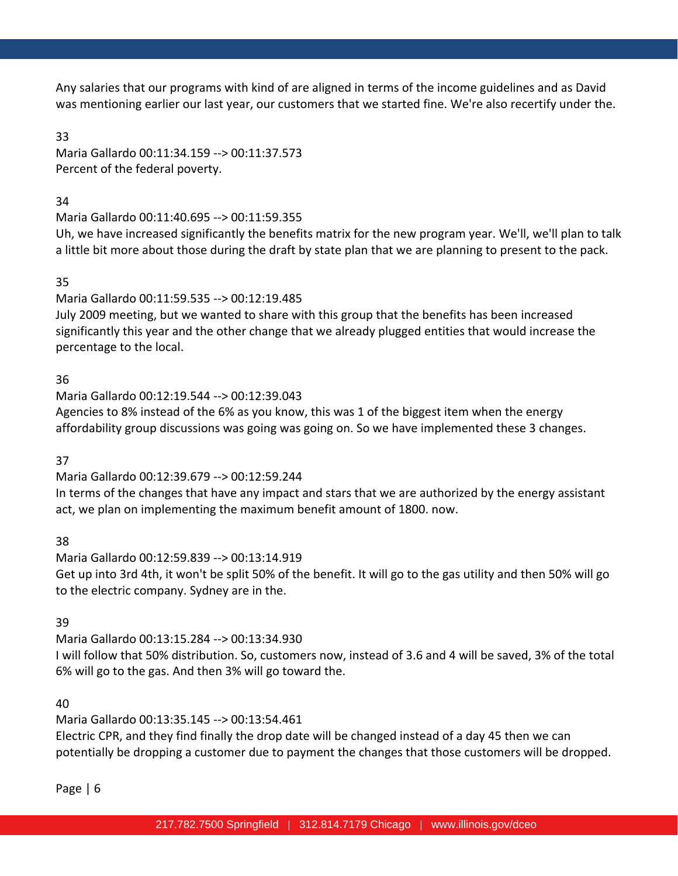Any salaries that our programs with kind of are aligned in terms of the income guidelines and as David was mentioning earlier our last year, our customers that we started fine. We're also recertify under the.

#### 33

Maria Gallardo 00:11:34.159 --> 00:11:37.573 Percent of the federal poverty.

# 34

Maria Gallardo 00:11:40.695 --> 00:11:59.355

Uh, we have increased significantly the benefits matrix for the new program year. We'll, we'll plan to talk a little bit more about those during the draft by state plan that we are planning to present to the pack.

# 35

Maria Gallardo 00:11:59.535 --> 00:12:19.485

July 2009 meeting, but we wanted to share with this group that the benefits has been increased significantly this year and the other change that we already plugged entities that would increase the percentage to the local.

# 36

Maria Gallardo 00:12:19.544 --> 00:12:39.043 Agencies to 8% instead of the 6% as you know, this was 1 of the biggest item when the energy affordability group discussions was going was going on. So we have implemented these 3 changes.

# 37

Maria Gallardo 00:12:39.679 --> 00:12:59.244

In terms of the changes that have any impact and stars that we are authorized by the energy assistant act, we plan on implementing the maximum benefit amount of 1800. now.

# 38

Maria Gallardo 00:12:59.839 --> 00:13:14.919 Get up into 3rd 4th, it won't be split 50% of the benefit. It will go to the gas utility and then 50% will go to the electric company. Sydney are in the.

# 39

Maria Gallardo 00:13:15.284 --> 00:13:34.930 I will follow that 50% distribution. So, customers now, instead of 3.6 and 4 will be saved, 3% of the total 6% will go to the gas. And then 3% will go toward the.

# 40

Maria Gallardo 00:13:35.145 --> 00:13:54.461 Electric CPR, and they find finally the drop date will be changed instead of a day 45 then we can potentially be dropping a customer due to payment the changes that those customers will be dropped.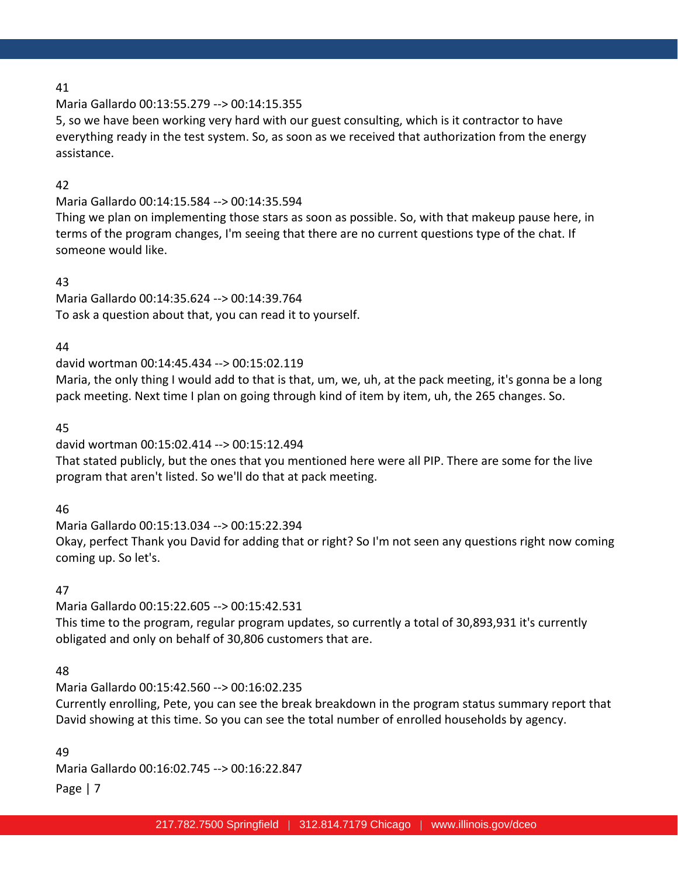Maria Gallardo 00:13:55.279 --> 00:14:15.355

5, so we have been working very hard with our guest consulting, which is it contractor to have everything ready in the test system. So, as soon as we received that authorization from the energy assistance.

# 42

Maria Gallardo 00:14:15.584 --> 00:14:35.594

Thing we plan on implementing those stars as soon as possible. So, with that makeup pause here, in terms of the program changes, I'm seeing that there are no current questions type of the chat. If someone would like.

# 43

Maria Gallardo 00:14:35.624 --> 00:14:39.764 To ask a question about that, you can read it to yourself.

# 44

david wortman 00:14:45.434 --> 00:15:02.119

Maria, the only thing I would add to that is that, um, we, uh, at the pack meeting, it's gonna be a long pack meeting. Next time I plan on going through kind of item by item, uh, the 265 changes. So.

# 45

david wortman 00:15:02.414 --> 00:15:12.494

That stated publicly, but the ones that you mentioned here were all PIP. There are some for the live program that aren't listed. So we'll do that at pack meeting.

# 46

Maria Gallardo 00:15:13.034 --> 00:15:22.394 Okay, perfect Thank you David for adding that or right? So I'm not seen any questions right now coming coming up. So let's.

# 47

Maria Gallardo 00:15:22.605 --> 00:15:42.531 This time to the program, regular program updates, so currently a total of 30,893,931 it's currently obligated and only on behalf of 30,806 customers that are.

# 48

Maria Gallardo 00:15:42.560 --> 00:16:02.235 Currently enrolling, Pete, you can see the break breakdown in the program status summary report that David showing at this time. So you can see the total number of enrolled households by agency.

Page | 7 49 Maria Gallardo 00:16:02.745 --> 00:16:22.847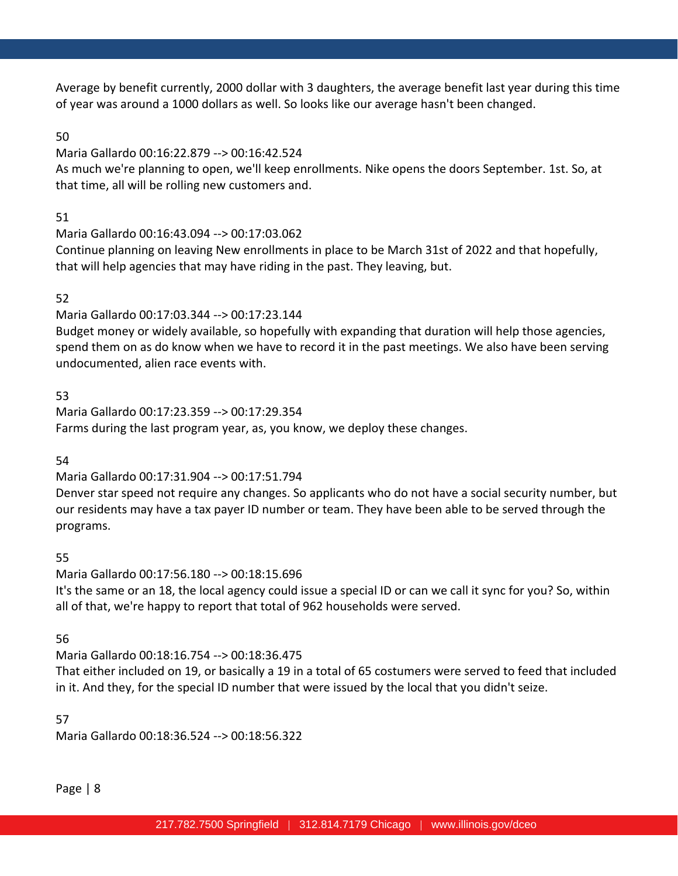Average by benefit currently, 2000 dollar with 3 daughters, the average benefit last year during this time of year was around a 1000 dollars as well. So looks like our average hasn't been changed.

# 50

Maria Gallardo 00:16:22.879 --> 00:16:42.524

As much we're planning to open, we'll keep enrollments. Nike opens the doors September. 1st. So, at that time, all will be rolling new customers and.

# 51

Maria Gallardo 00:16:43.094 --> 00:17:03.062

Continue planning on leaving New enrollments in place to be March 31st of 2022 and that hopefully, that will help agencies that may have riding in the past. They leaving, but.

# 52

Maria Gallardo 00:17:03.344 --> 00:17:23.144

Budget money or widely available, so hopefully with expanding that duration will help those agencies, spend them on as do know when we have to record it in the past meetings. We also have been serving undocumented, alien race events with.

# 53

Maria Gallardo 00:17:23.359 --> 00:17:29.354 Farms during the last program year, as, you know, we deploy these changes.

# 54

# Maria Gallardo 00:17:31.904 --> 00:17:51.794

Denver star speed not require any changes. So applicants who do not have a social security number, but our residents may have a tax payer ID number or team. They have been able to be served through the programs.

# 55

Maria Gallardo 00:17:56.180 --> 00:18:15.696 It's the same or an 18, the local agency could issue a special ID or can we call it sync for you? So, within all of that, we're happy to report that total of 962 households were served.

# 56

Maria Gallardo 00:18:16.754 --> 00:18:36.475

That either included on 19, or basically a 19 in a total of 65 costumers were served to feed that included in it. And they, for the special ID number that were issued by the local that you didn't seize.

# 57

Maria Gallardo 00:18:36.524 --> 00:18:56.322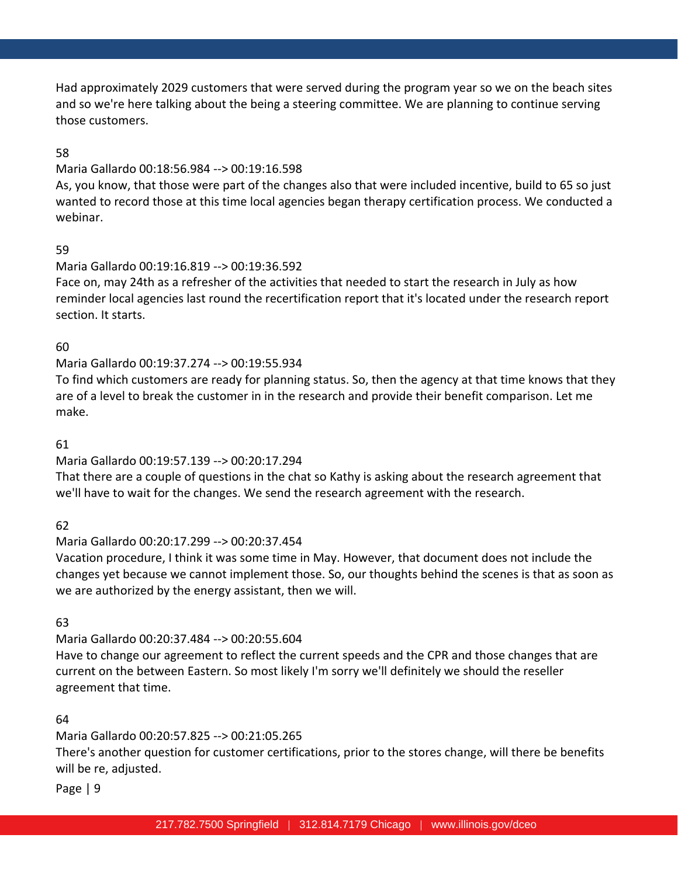Had approximately 2029 customers that were served during the program year so we on the beach sites and so we're here talking about the being a steering committee. We are planning to continue serving those customers.

# 58

#### Maria Gallardo 00:18:56.984 --> 00:19:16.598

As, you know, that those were part of the changes also that were included incentive, build to 65 so just wanted to record those at this time local agencies began therapy certification process. We conducted a webinar.

# 59

# Maria Gallardo 00:19:16.819 --> 00:19:36.592

Face on, may 24th as a refresher of the activities that needed to start the research in July as how reminder local agencies last round the recertification report that it's located under the research report section. It starts.

# 60

# Maria Gallardo 00:19:37.274 --> 00:19:55.934

To find which customers are ready for planning status. So, then the agency at that time knows that they are of a level to break the customer in in the research and provide their benefit comparison. Let me make.

# 61

# Maria Gallardo 00:19:57.139 --> 00:20:17.294

That there are a couple of questions in the chat so Kathy is asking about the research agreement that we'll have to wait for the changes. We send the research agreement with the research.

# 62

# Maria Gallardo 00:20:17.299 --> 00:20:37.454

Vacation procedure, I think it was some time in May. However, that document does not include the changes yet because we cannot implement those. So, our thoughts behind the scenes is that as soon as we are authorized by the energy assistant, then we will.

# 63

# Maria Gallardo 00:20:37.484 --> 00:20:55.604 Have to change our agreement to reflect the current speeds and the CPR and those changes that are current on the between Eastern. So most likely I'm sorry we'll definitely we should the reseller agreement that time.

# 64

# Maria Gallardo 00:20:57.825 --> 00:21:05.265

There's another question for customer certifications, prior to the stores change, will there be benefits will be re, adjusted.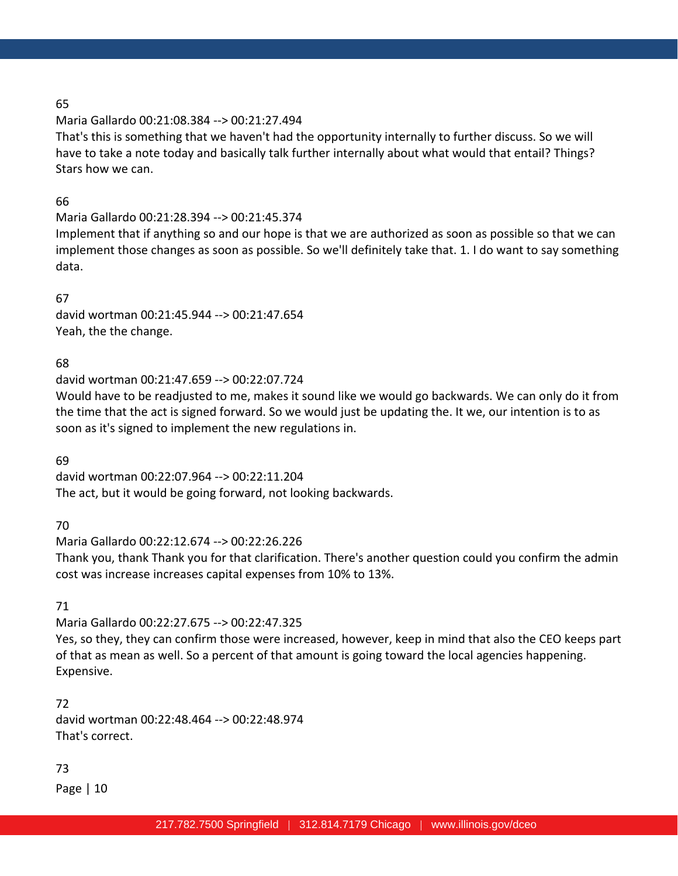# Maria Gallardo 00:21:08.384 --> 00:21:27.494

That's this is something that we haven't had the opportunity internally to further discuss. So we will have to take a note today and basically talk further internally about what would that entail? Things? Stars how we can.

# 66

# Maria Gallardo 00:21:28.394 --> 00:21:45.374

Implement that if anything so and our hope is that we are authorized as soon as possible so that we can implement those changes as soon as possible. So we'll definitely take that. 1. I do want to say something data.

# 67

david wortman 00:21:45.944 --> 00:21:47.654 Yeah, the the change.

# 68

david wortman 00:21:47.659 --> 00:22:07.724

Would have to be readjusted to me, makes it sound like we would go backwards. We can only do it from the time that the act is signed forward. So we would just be updating the. It we, our intention is to as soon as it's signed to implement the new regulations in.

# 69

david wortman 00:22:07.964 --> 00:22:11.204 The act, but it would be going forward, not looking backwards.

# 70

Maria Gallardo 00:22:12.674 --> 00:22:26.226 Thank you, thank Thank you for that clarification. There's another question could you confirm the admin cost was increase increases capital expenses from 10% to 13%.

# 71

Maria Gallardo 00:22:27.675 --> 00:22:47.325 Yes, so they, they can confirm those were increased, however, keep in mind that also the CEO keeps part of that as mean as well. So a percent of that amount is going toward the local agencies happening. Expensive.

72 david wortman 00:22:48.464 --> 00:22:48.974 That's correct.

# 73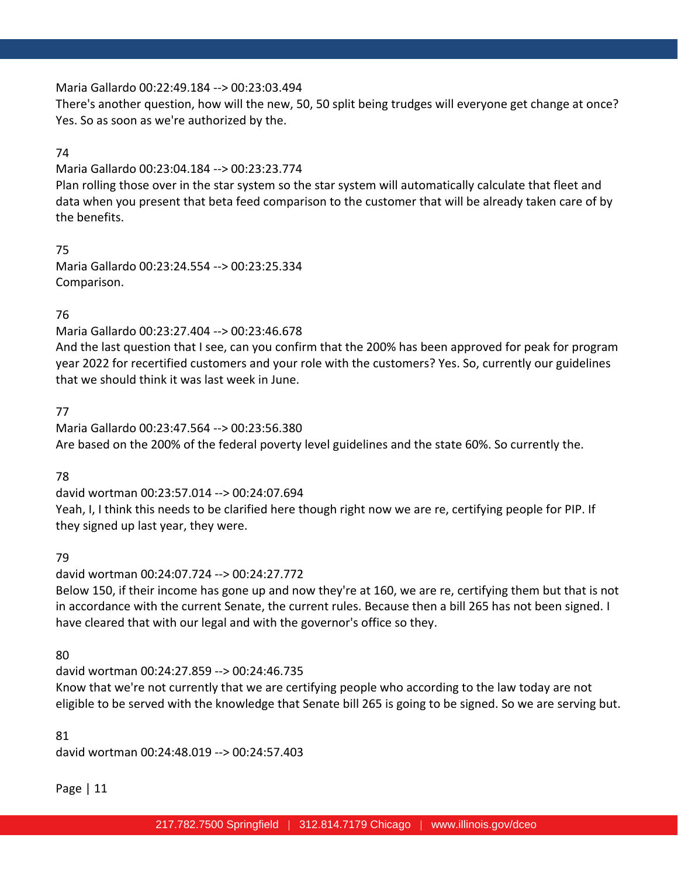#### Maria Gallardo 00:22:49.184 --> 00:23:03.494

There's another question, how will the new, 50, 50 split being trudges will everyone get change at once? Yes. So as soon as we're authorized by the.

#### 74

Maria Gallardo 00:23:04.184 --> 00:23:23.774

Plan rolling those over in the star system so the star system will automatically calculate that fleet and data when you present that beta feed comparison to the customer that will be already taken care of by the benefits.

75 Maria Gallardo 00:23:24.554 --> 00:23:25.334 Comparison.

# 76

Maria Gallardo 00:23:27.404 --> 00:23:46.678

And the last question that I see, can you confirm that the 200% has been approved for peak for program year 2022 for recertified customers and your role with the customers? Yes. So, currently our guidelines that we should think it was last week in June.

# 77

Maria Gallardo 00:23:47.564 --> 00:23:56.380 Are based on the 200% of the federal poverty level guidelines and the state 60%. So currently the.

# 78

david wortman 00:23:57.014 --> 00:24:07.694 Yeah, I, I think this needs to be clarified here though right now we are re, certifying people for PIP. If they signed up last year, they were.

#### 79

david wortman 00:24:07.724 --> 00:24:27.772

Below 150, if their income has gone up and now they're at 160, we are re, certifying them but that is not in accordance with the current Senate, the current rules. Because then a bill 265 has not been signed. I have cleared that with our legal and with the governor's office so they.

#### 80

david wortman 00:24:27.859 --> 00:24:46.735

Know that we're not currently that we are certifying people who according to the law today are not eligible to be served with the knowledge that Senate bill 265 is going to be signed. So we are serving but.

#### 81

david wortman 00:24:48.019 --> 00:24:57.403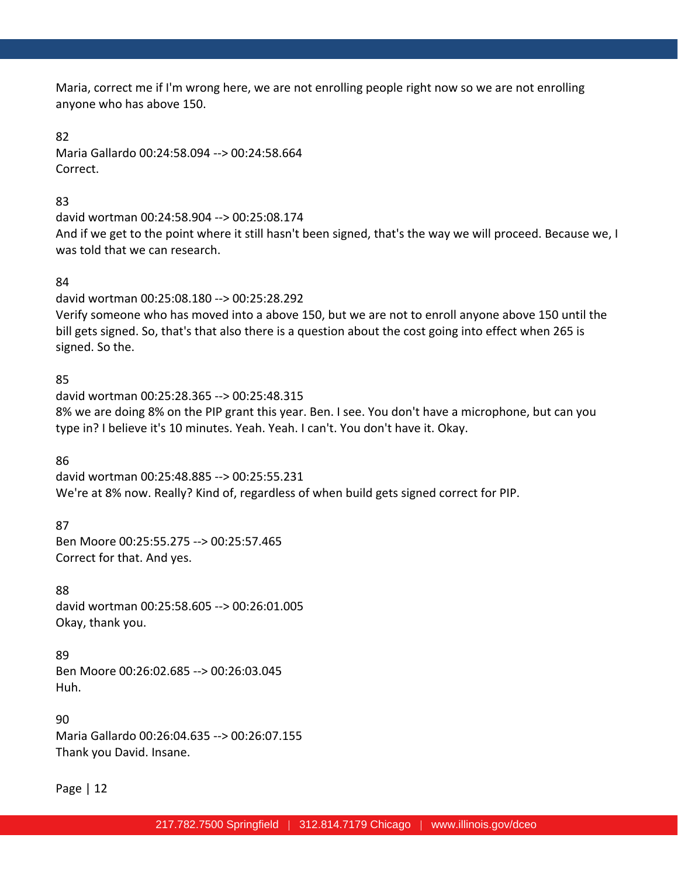Maria, correct me if I'm wrong here, we are not enrolling people right now so we are not enrolling anyone who has above 150.

82

Maria Gallardo 00:24:58.094 --> 00:24:58.664 Correct.

83

david wortman 00:24:58.904 --> 00:25:08.174 And if we get to the point where it still hasn't been signed, that's the way we will proceed. Because we, I was told that we can research.

# 84

david wortman 00:25:08.180 --> 00:25:28.292 Verify someone who has moved into a above 150, but we are not to enroll anyone above 150 until the bill gets signed. So, that's that also there is a question about the cost going into effect when 265 is signed. So the.

# 85

david wortman 00:25:28.365 --> 00:25:48.315 8% we are doing 8% on the PIP grant this year. Ben. I see. You don't have a microphone, but can you type in? I believe it's 10 minutes. Yeah. Yeah. I can't. You don't have it. Okay.

86 david wortman 00:25:48.885 --> 00:25:55.231 We're at 8% now. Really? Kind of, regardless of when build gets signed correct for PIP.

87

Ben Moore 00:25:55.275 --> 00:25:57.465 Correct for that. And yes.

88 david wortman 00:25:58.605 --> 00:26:01.005 Okay, thank you.

89 Ben Moore 00:26:02.685 --> 00:26:03.045 Huh.

90 Maria Gallardo 00:26:04.635 --> 00:26:07.155 Thank you David. Insane.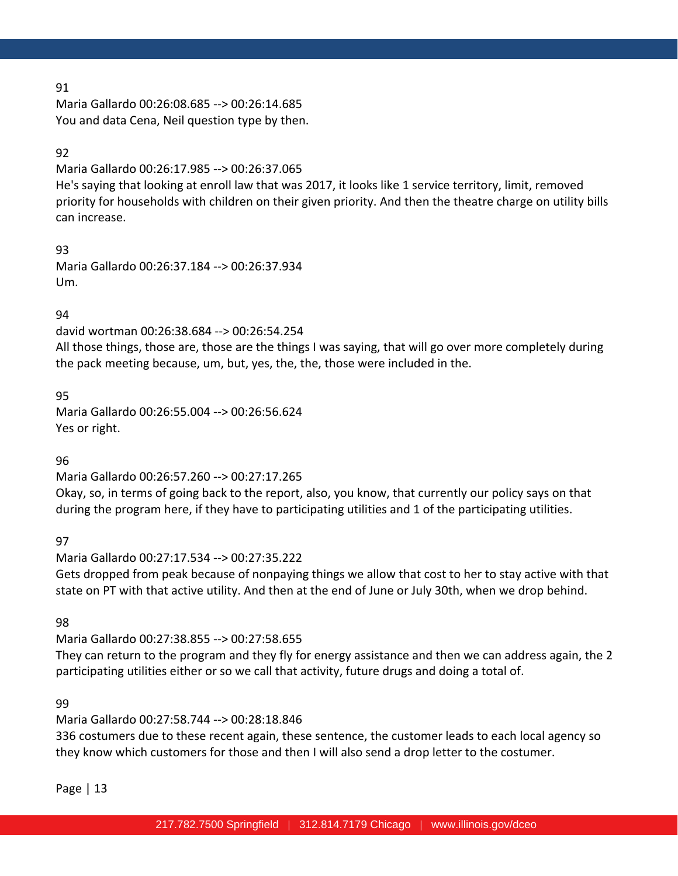Maria Gallardo 00:26:08.685 --> 00:26:14.685 You and data Cena, Neil question type by then.

## 92

Maria Gallardo 00:26:17.985 --> 00:26:37.065

He's saying that looking at enroll law that was 2017, it looks like 1 service territory, limit, removed priority for households with children on their given priority. And then the theatre charge on utility bills can increase.

93 Maria Gallardo 00:26:37.184 --> 00:26:37.934 Um.

# 94

david wortman 00:26:38.684 --> 00:26:54.254

All those things, those are, those are the things I was saying, that will go over more completely during the pack meeting because, um, but, yes, the, the, those were included in the.

# 95

Maria Gallardo 00:26:55.004 --> 00:26:56.624 Yes or right.

# 96

Maria Gallardo 00:26:57.260 --> 00:27:17.265 Okay, so, in terms of going back to the report, also, you know, that currently our policy says on that during the program here, if they have to participating utilities and 1 of the participating utilities.

97

Maria Gallardo 00:27:17.534 --> 00:27:35.222 Gets dropped from peak because of nonpaying things we allow that cost to her to stay active with that state on PT with that active utility. And then at the end of June or July 30th, when we drop behind.

98

Maria Gallardo 00:27:38.855 --> 00:27:58.655 They can return to the program and they fly for energy assistance and then we can address again, the 2 participating utilities either or so we call that activity, future drugs and doing a total of.

#### 99

Maria Gallardo 00:27:58.744 --> 00:28:18.846

336 costumers due to these recent again, these sentence, the customer leads to each local agency so they know which customers for those and then I will also send a drop letter to the costumer.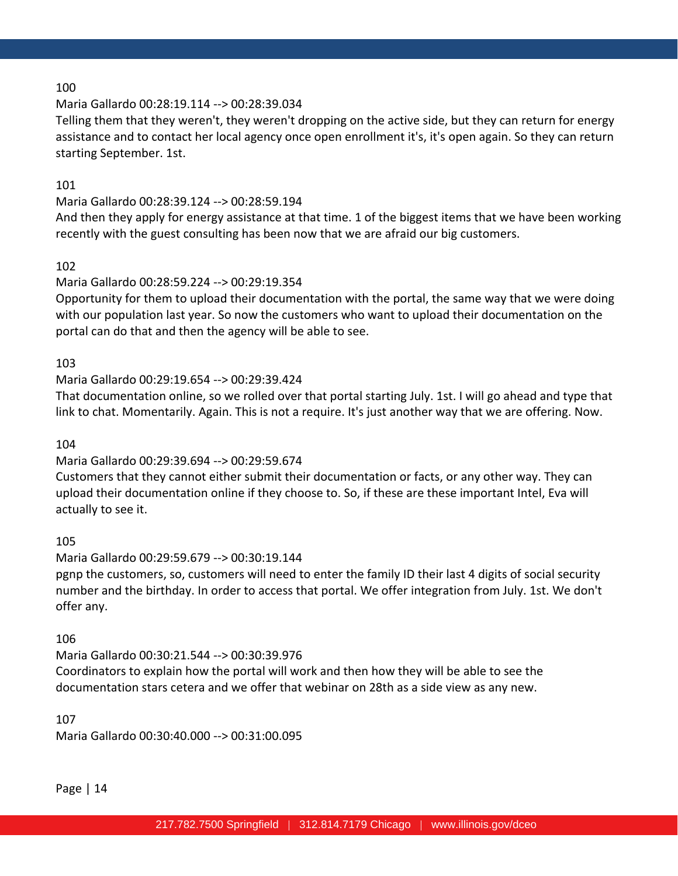# Maria Gallardo 00:28:19.114 --> 00:28:39.034

Telling them that they weren't, they weren't dropping on the active side, but they can return for energy assistance and to contact her local agency once open enrollment it's, it's open again. So they can return starting September. 1st.

# 101

# Maria Gallardo 00:28:39.124 --> 00:28:59.194

And then they apply for energy assistance at that time. 1 of the biggest items that we have been working recently with the guest consulting has been now that we are afraid our big customers.

# 102

# Maria Gallardo 00:28:59.224 --> 00:29:19.354

Opportunity for them to upload their documentation with the portal, the same way that we were doing with our population last year. So now the customers who want to upload their documentation on the portal can do that and then the agency will be able to see.

# 103

# Maria Gallardo 00:29:19.654 --> 00:29:39.424

That documentation online, so we rolled over that portal starting July. 1st. I will go ahead and type that link to chat. Momentarily. Again. This is not a require. It's just another way that we are offering. Now.

#### 104

# Maria Gallardo 00:29:39.694 --> 00:29:59.674

Customers that they cannot either submit their documentation or facts, or any other way. They can upload their documentation online if they choose to. So, if these are these important Intel, Eva will actually to see it.

#### 105

# Maria Gallardo 00:29:59.679 --> 00:30:19.144

pgnp the customers, so, customers will need to enter the family ID their last 4 digits of social security number and the birthday. In order to access that portal. We offer integration from July. 1st. We don't offer any.

# 106

# Maria Gallardo 00:30:21.544 --> 00:30:39.976 Coordinators to explain how the portal will work and then how they will be able to see the documentation stars cetera and we offer that webinar on 28th as a side view as any new.

# 107

Maria Gallardo 00:30:40.000 --> 00:31:00.095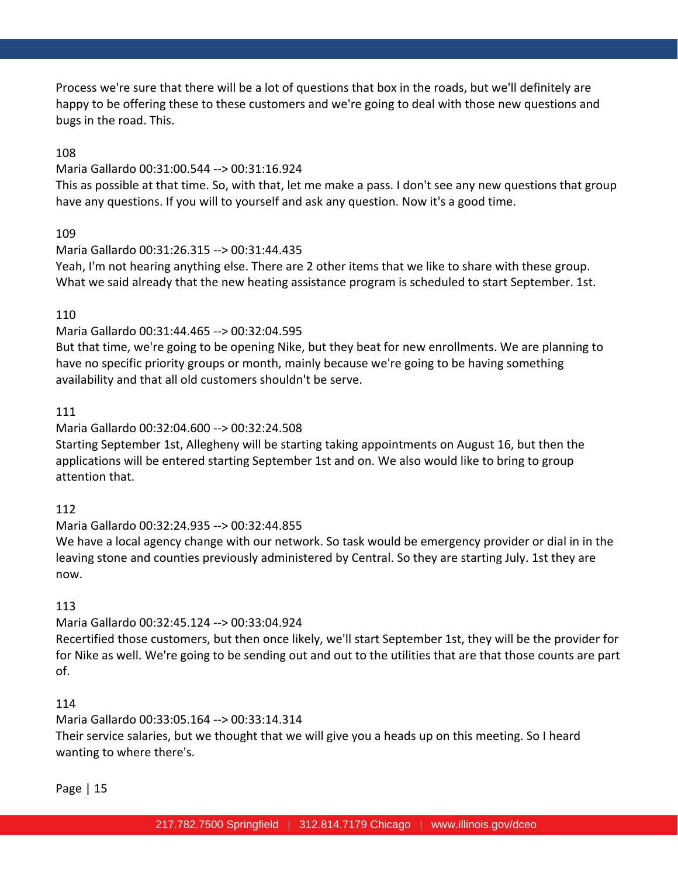Process we're sure that there will be a lot of questions that box in the roads, but we'll definitely are happy to be offering these to these customers and we're going to deal with those new questions and bugs in the road. This.

# 108

#### Maria Gallardo 00:31:00.544 --> 00:31:16.924

This as possible at that time. So, with that, let me make a pass. I don't see any new questions that group have any questions. If you will to yourself and ask any question. Now it's a good time.

#### 109

#### Maria Gallardo 00:31:26.315 --> 00:31:44.435

Yeah, I'm not hearing anything else. There are 2 other items that we like to share with these group. What we said already that the new heating assistance program is scheduled to start September. 1st.

# 110

# Maria Gallardo 00:31:44.465 --> 00:32:04.595

But that time, we're going to be opening Nike, but they beat for new enrollments. We are planning to have no specific priority groups or month, mainly because we're going to be having something availability and that all old customers shouldn't be serve.

# 111

# Maria Gallardo 00:32:04.600 --> 00:32:24.508

Starting September 1st, Allegheny will be starting taking appointments on August 16, but then the applications will be entered starting September 1st and on. We also would like to bring to group attention that.

#### 112

#### Maria Gallardo 00:32:24.935 --> 00:32:44.855

We have a local agency change with our network. So task would be emergency provider or dial in in the leaving stone and counties previously administered by Central. So they are starting July. 1st they are now.

# 113

# Maria Gallardo 00:32:45.124 --> 00:33:04.924

Recertified those customers, but then once likely, we'll start September 1st, they will be the provider for for Nike as well. We're going to be sending out and out to the utilities that are that those counts are part of.

# 114

# Maria Gallardo 00:33:05.164 --> 00:33:14.314

Their service salaries, but we thought that we will give you a heads up on this meeting. So I heard wanting to where there's.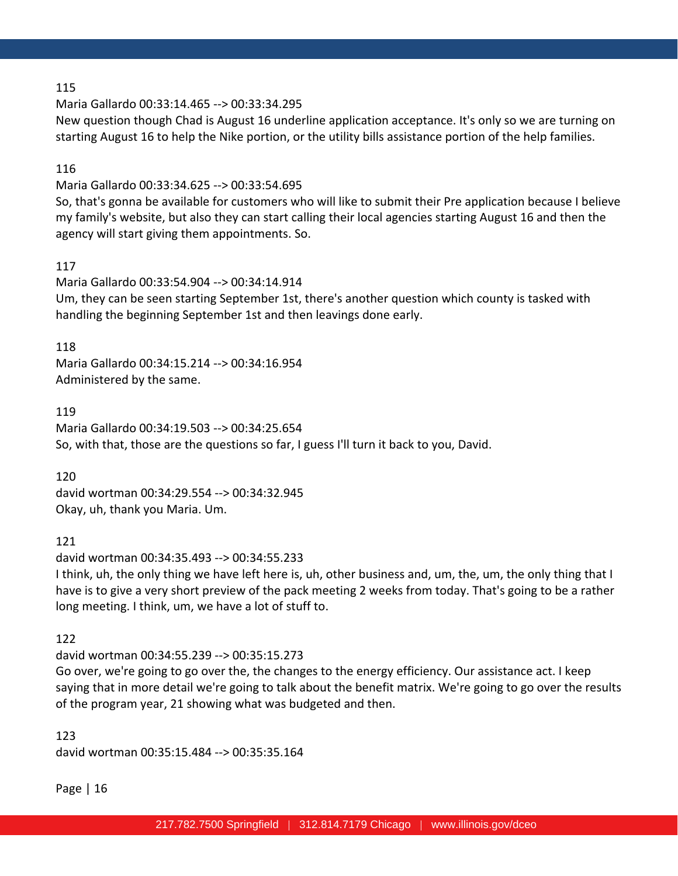Maria Gallardo 00:33:14.465 --> 00:33:34.295

New question though Chad is August 16 underline application acceptance. It's only so we are turning on starting August 16 to help the Nike portion, or the utility bills assistance portion of the help families.

#### 116

Maria Gallardo 00:33:34.625 --> 00:33:54.695

So, that's gonna be available for customers who will like to submit their Pre application because I believe my family's website, but also they can start calling their local agencies starting August 16 and then the agency will start giving them appointments. So.

#### 117

Maria Gallardo 00:33:54.904 --> 00:34:14.914 Um, they can be seen starting September 1st, there's another question which county is tasked with handling the beginning September 1st and then leavings done early.

#### 118

Maria Gallardo 00:34:15.214 --> 00:34:16.954 Administered by the same.

119

Maria Gallardo 00:34:19.503 --> 00:34:25.654 So, with that, those are the questions so far, I guess I'll turn it back to you, David.

120

david wortman 00:34:29.554 --> 00:34:32.945 Okay, uh, thank you Maria. Um.

121

david wortman 00:34:35.493 --> 00:34:55.233 I think, uh, the only thing we have left here is, uh, other business and, um, the, um, the only thing that I have is to give a very short preview of the pack meeting 2 weeks from today. That's going to be a rather long meeting. I think, um, we have a lot of stuff to.

122

david wortman 00:34:55.239 --> 00:35:15.273

Go over, we're going to go over the, the changes to the energy efficiency. Our assistance act. I keep saying that in more detail we're going to talk about the benefit matrix. We're going to go over the results of the program year, 21 showing what was budgeted and then.

123 david wortman 00:35:15.484 --> 00:35:35.164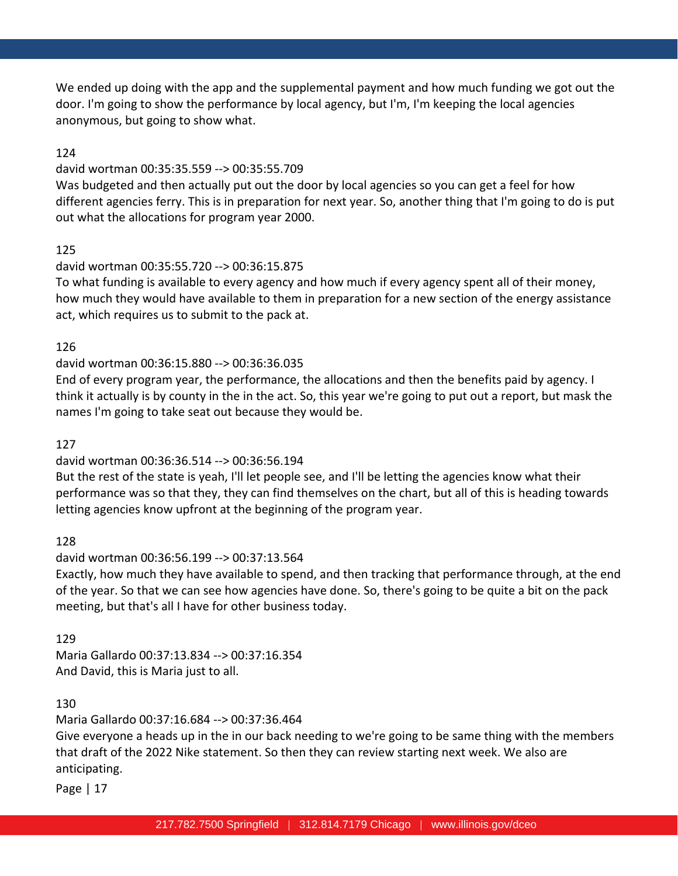We ended up doing with the app and the supplemental payment and how much funding we got out the door. I'm going to show the performance by local agency, but I'm, I'm keeping the local agencies anonymous, but going to show what.

# 124

#### david wortman 00:35:35.559 --> 00:35:55.709

Was budgeted and then actually put out the door by local agencies so you can get a feel for how different agencies ferry. This is in preparation for next year. So, another thing that I'm going to do is put out what the allocations for program year 2000.

# 125

# david wortman 00:35:55.720 --> 00:36:15.875

To what funding is available to every agency and how much if every agency spent all of their money, how much they would have available to them in preparation for a new section of the energy assistance act, which requires us to submit to the pack at.

# 126

# david wortman 00:36:15.880 --> 00:36:36.035

End of every program year, the performance, the allocations and then the benefits paid by agency. I think it actually is by county in the in the act. So, this year we're going to put out a report, but mask the names I'm going to take seat out because they would be.

#### 127

# david wortman 00:36:36.514 --> 00:36:56.194

But the rest of the state is yeah, I'll let people see, and I'll be letting the agencies know what their performance was so that they, they can find themselves on the chart, but all of this is heading towards letting agencies know upfront at the beginning of the program year.

#### 128

#### david wortman 00:36:56.199 --> 00:37:13.564

Exactly, how much they have available to spend, and then tracking that performance through, at the end of the year. So that we can see how agencies have done. So, there's going to be quite a bit on the pack meeting, but that's all I have for other business today.

# 129

Maria Gallardo 00:37:13.834 --> 00:37:16.354 And David, this is Maria just to all.

# 130

Maria Gallardo 00:37:16.684 --> 00:37:36.464

Give everyone a heads up in the in our back needing to we're going to be same thing with the members that draft of the 2022 Nike statement. So then they can review starting next week. We also are anticipating.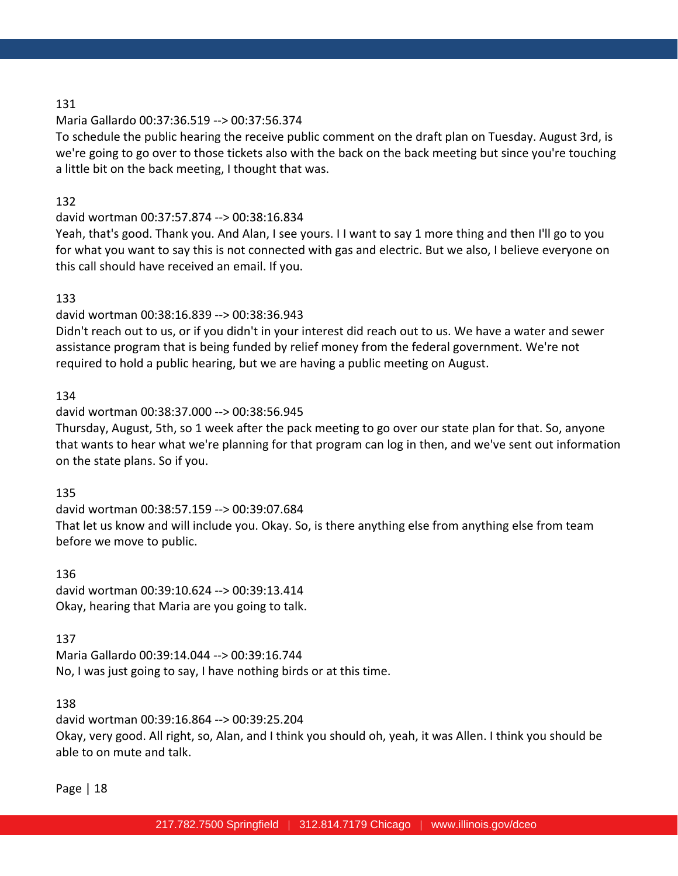#### Maria Gallardo 00:37:36.519 --> 00:37:56.374

To schedule the public hearing the receive public comment on the draft plan on Tuesday. August 3rd, is we're going to go over to those tickets also with the back on the back meeting but since you're touching a little bit on the back meeting, I thought that was.

#### 132

#### david wortman 00:37:57.874 --> 00:38:16.834

Yeah, that's good. Thank you. And Alan, I see yours. I I want to say 1 more thing and then I'll go to you for what you want to say this is not connected with gas and electric. But we also, I believe everyone on this call should have received an email. If you.

#### 133

#### david wortman 00:38:16.839 --> 00:38:36.943

Didn't reach out to us, or if you didn't in your interest did reach out to us. We have a water and sewer assistance program that is being funded by relief money from the federal government. We're not required to hold a public hearing, but we are having a public meeting on August.

#### 134

#### david wortman 00:38:37.000 --> 00:38:56.945

Thursday, August, 5th, so 1 week after the pack meeting to go over our state plan for that. So, anyone that wants to hear what we're planning for that program can log in then, and we've sent out information on the state plans. So if you.

#### 135

david wortman 00:38:57.159 --> 00:39:07.684 That let us know and will include you. Okay. So, is there anything else from anything else from team before we move to public.

#### 136

david wortman 00:39:10.624 --> 00:39:13.414 Okay, hearing that Maria are you going to talk.

#### 137

Maria Gallardo 00:39:14.044 --> 00:39:16.744 No, I was just going to say, I have nothing birds or at this time.

#### 138

david wortman 00:39:16.864 --> 00:39:25.204 Okay, very good. All right, so, Alan, and I think you should oh, yeah, it was Allen. I think you should be able to on mute and talk.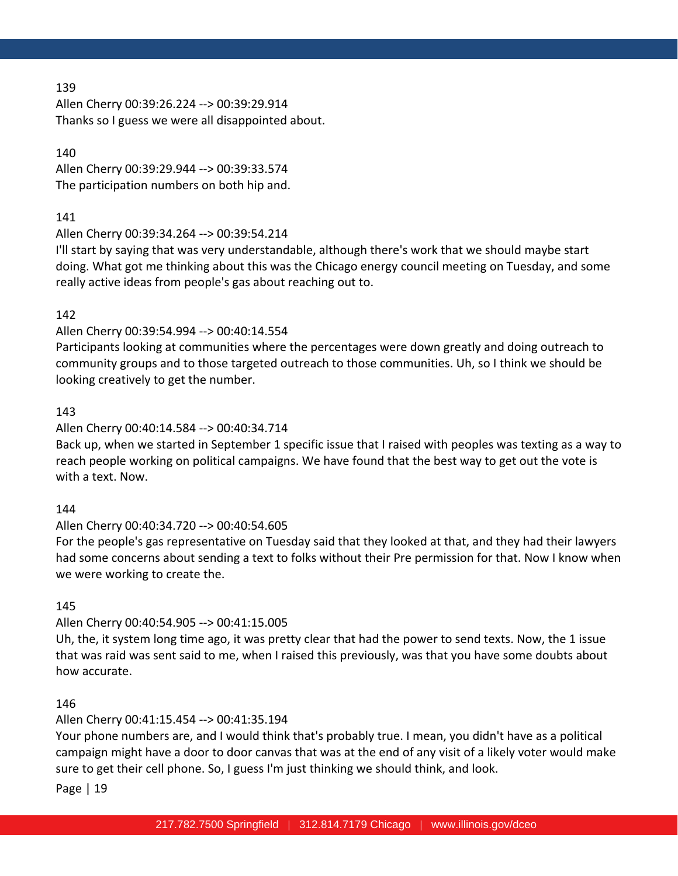Allen Cherry 00:39:26.224 --> 00:39:29.914 Thanks so I guess we were all disappointed about.

140 Allen Cherry 00:39:29.944 --> 00:39:33.574 The participation numbers on both hip and.

# 141

Allen Cherry 00:39:34.264 --> 00:39:54.214

I'll start by saying that was very understandable, although there's work that we should maybe start doing. What got me thinking about this was the Chicago energy council meeting on Tuesday, and some really active ideas from people's gas about reaching out to.

# 142

# Allen Cherry 00:39:54.994 --> 00:40:14.554

Participants looking at communities where the percentages were down greatly and doing outreach to community groups and to those targeted outreach to those communities. Uh, so I think we should be looking creatively to get the number.

# 143

# Allen Cherry 00:40:14.584 --> 00:40:34.714

Back up, when we started in September 1 specific issue that I raised with peoples was texting as a way to reach people working on political campaigns. We have found that the best way to get out the vote is with a text. Now.

#### 144

# Allen Cherry 00:40:34.720 --> 00:40:54.605

For the people's gas representative on Tuesday said that they looked at that, and they had their lawyers had some concerns about sending a text to folks without their Pre permission for that. Now I know when we were working to create the.

#### 145

# Allen Cherry 00:40:54.905 --> 00:41:15.005

Uh, the, it system long time ago, it was pretty clear that had the power to send texts. Now, the 1 issue that was raid was sent said to me, when I raised this previously, was that you have some doubts about how accurate.

#### 146

# Allen Cherry 00:41:15.454 --> 00:41:35.194

Your phone numbers are, and I would think that's probably true. I mean, you didn't have as a political campaign might have a door to door canvas that was at the end of any visit of a likely voter would make sure to get their cell phone. So, I guess I'm just thinking we should think, and look.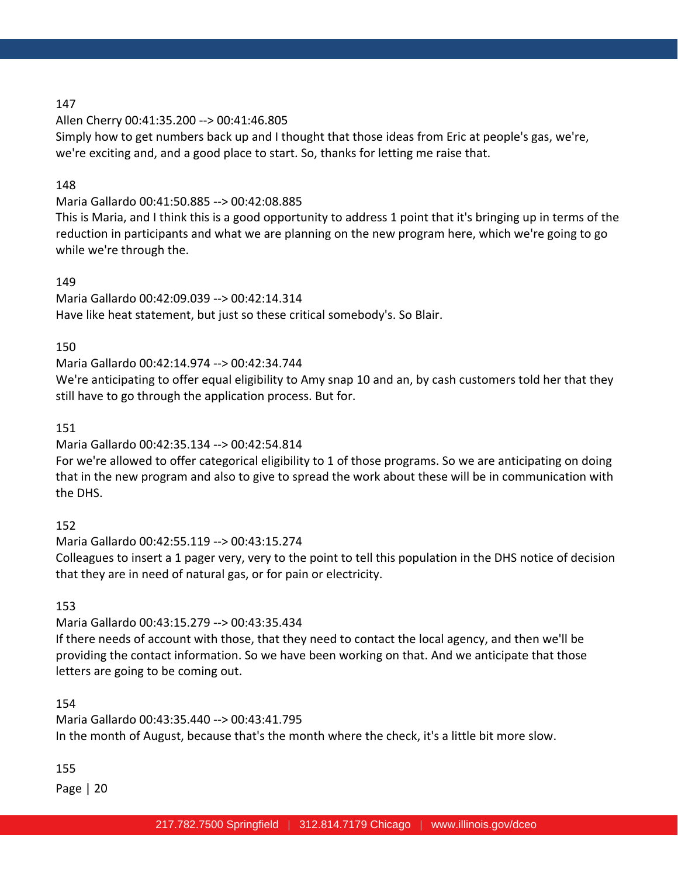Allen Cherry 00:41:35.200 --> 00:41:46.805

Simply how to get numbers back up and I thought that those ideas from Eric at people's gas, we're, we're exciting and, and a good place to start. So, thanks for letting me raise that.

# 148

Maria Gallardo 00:41:50.885 --> 00:42:08.885

This is Maria, and I think this is a good opportunity to address 1 point that it's bringing up in terms of the reduction in participants and what we are planning on the new program here, which we're going to go while we're through the.

# 149

Maria Gallardo 00:42:09.039 --> 00:42:14.314 Have like heat statement, but just so these critical somebody's. So Blair.

#### 150

Maria Gallardo 00:42:14.974 --> 00:42:34.744

We're anticipating to offer equal eligibility to Amy snap 10 and an, by cash customers told her that they still have to go through the application process. But for.

#### 151

Maria Gallardo 00:42:35.134 --> 00:42:54.814

For we're allowed to offer categorical eligibility to 1 of those programs. So we are anticipating on doing that in the new program and also to give to spread the work about these will be in communication with the DHS.

#### 152

Maria Gallardo 00:42:55.119 --> 00:43:15.274

Colleagues to insert a 1 pager very, very to the point to tell this population in the DHS notice of decision that they are in need of natural gas, or for pain or electricity.

#### 153

Maria Gallardo 00:43:15.279 --> 00:43:35.434

If there needs of account with those, that they need to contact the local agency, and then we'll be providing the contact information. So we have been working on that. And we anticipate that those letters are going to be coming out.

# 154

Maria Gallardo 00:43:35.440 --> 00:43:41.795 In the month of August, because that's the month where the check, it's a little bit more slow.

#### 155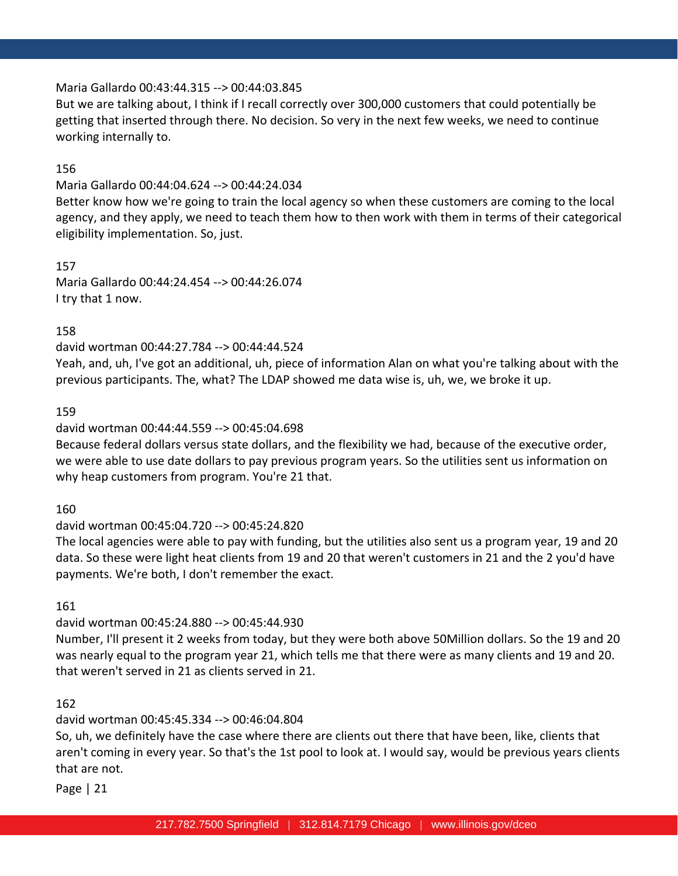# Maria Gallardo 00:43:44.315 --> 00:44:03.845

But we are talking about, I think if I recall correctly over 300,000 customers that could potentially be getting that inserted through there. No decision. So very in the next few weeks, we need to continue working internally to.

#### 156

#### Maria Gallardo 00:44:04.624 --> 00:44:24.034

Better know how we're going to train the local agency so when these customers are coming to the local agency, and they apply, we need to teach them how to then work with them in terms of their categorical eligibility implementation. So, just.

# 157

Maria Gallardo 00:44:24.454 --> 00:44:26.074 I try that 1 now.

# 158

#### david wortman 00:44:27.784 --> 00:44:44.524

Yeah, and, uh, I've got an additional, uh, piece of information Alan on what you're talking about with the previous participants. The, what? The LDAP showed me data wise is, uh, we, we broke it up.

#### 159

# david wortman 00:44:44.559 --> 00:45:04.698

Because federal dollars versus state dollars, and the flexibility we had, because of the executive order, we were able to use date dollars to pay previous program years. So the utilities sent us information on why heap customers from program. You're 21 that.

#### 160

#### david wortman 00:45:04.720 --> 00:45:24.820

The local agencies were able to pay with funding, but the utilities also sent us a program year, 19 and 20 data. So these were light heat clients from 19 and 20 that weren't customers in 21 and the 2 you'd have payments. We're both, I don't remember the exact.

#### 161

#### david wortman 00:45:24.880 --> 00:45:44.930

Number, I'll present it 2 weeks from today, but they were both above 50Million dollars. So the 19 and 20 was nearly equal to the program year 21, which tells me that there were as many clients and 19 and 20. that weren't served in 21 as clients served in 21.

# 162

# david wortman 00:45:45.334 --> 00:46:04.804

So, uh, we definitely have the case where there are clients out there that have been, like, clients that aren't coming in every year. So that's the 1st pool to look at. I would say, would be previous years clients that are not.